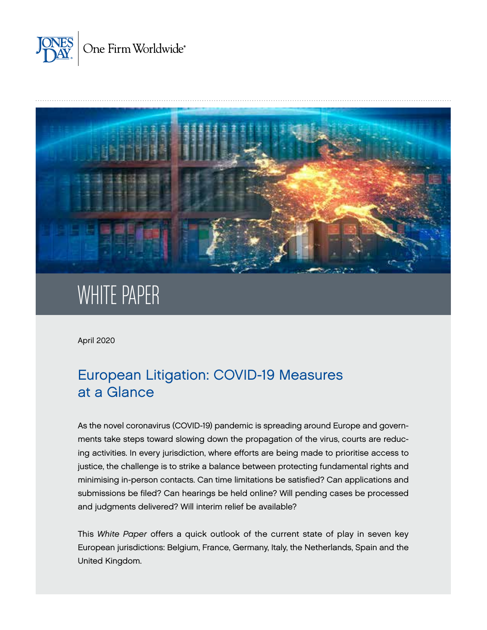



# WHITE PAPER

April 2020

# European Litigation: COVID-19 Measures at a Glance

As the novel coronavirus (COVID-19) pandemic is spreading around Europe and governments take steps toward slowing down the propagation of the virus, courts are reducing activities. In every jurisdiction, where efforts are being made to prioritise access to justice, the challenge is to strike a balance between protecting fundamental rights and minimising in-person contacts. Can time limitations be satisfied? Can applications and submissions be filed? Can hearings be held online? Will pending cases be processed and judgments delivered? Will interim relief be available?

This *White Paper* offers a quick outlook of the current state of play in seven key European jurisdictions: Belgium, France, Germany, Italy, the Netherlands, Spain and the United Kingdom.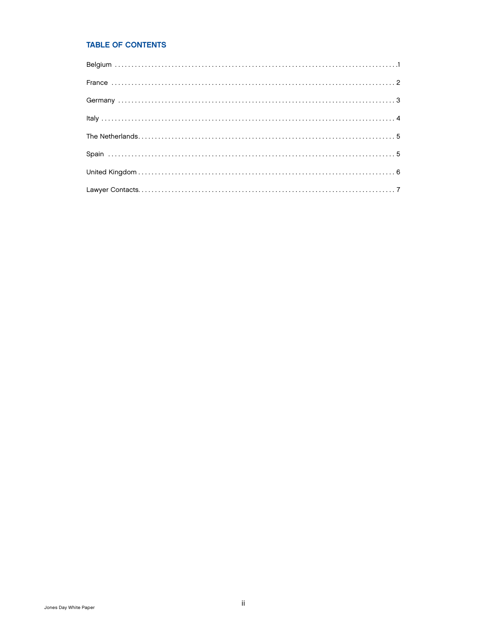#### TABLE OF CONTENTS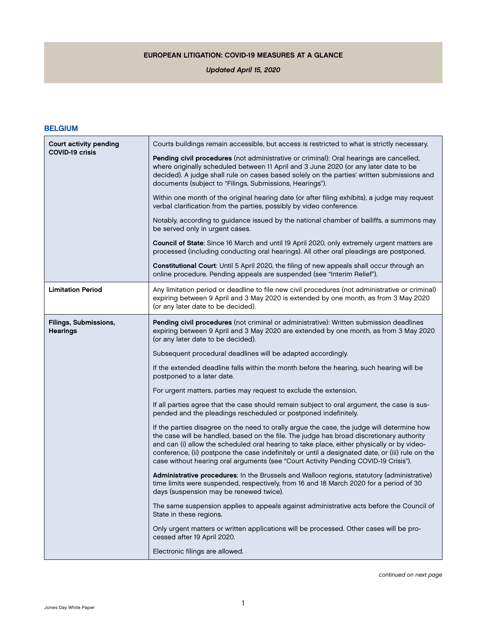#### EUROPEAN LITIGATION: COVID-19 MEASURES AT A GLANCE

#### *Updated April 15, 2020*

#### <span id="page-2-0"></span>BELGIUM

| Court activity pending                   | Courts buildings remain accessible, but access is restricted to what is strictly necessary.                                                                                                                                                                                                                                                                                                                                                                                     |
|------------------------------------------|---------------------------------------------------------------------------------------------------------------------------------------------------------------------------------------------------------------------------------------------------------------------------------------------------------------------------------------------------------------------------------------------------------------------------------------------------------------------------------|
| <b>COVID-19 crisis</b>                   | Pending civil procedures (not administrative or criminal): Oral hearings are cancelled,<br>where originally scheduled between 11 April and 3 June 2020 (or any later date to be<br>decided). A judge shall rule on cases based solely on the parties' written submissions and<br>documents (subject to "Filings, Submissions, Hearings").                                                                                                                                       |
|                                          | Within one month of the original hearing date (or after filing exhibits), a judge may request<br>verbal clarification from the parties, possibly by video conference.                                                                                                                                                                                                                                                                                                           |
|                                          | Notably, according to guidance issued by the national chamber of bailiffs, a summons may<br>be served only in urgent cases.                                                                                                                                                                                                                                                                                                                                                     |
|                                          | Council of State: Since 16 March and until 19 April 2020, only extremely urgent matters are<br>processed (including conducting oral hearings). All other oral pleadings are postponed.                                                                                                                                                                                                                                                                                          |
|                                          | Constitutional Court: Until 5 April 2020, the filing of new appeals shall occur through an<br>online procedure. Pending appeals are suspended (see "Interim Relief").                                                                                                                                                                                                                                                                                                           |
| <b>Limitation Period</b>                 | Any limitation period or deadline to file new civil procedures (not administrative or criminal)<br>expiring between 9 April and 3 May 2020 is extended by one month, as from 3 May 2020<br>(or any later date to be decided).                                                                                                                                                                                                                                                   |
| Filings, Submissions,<br><b>Hearings</b> | Pending civil procedures (not criminal or administrative): Written submission deadlines<br>expiring between 9 April and 3 May 2020 are extended by one month, as from 3 May 2020<br>(or any later date to be decided).                                                                                                                                                                                                                                                          |
|                                          | Subsequent procedural deadlines will be adapted accordingly.                                                                                                                                                                                                                                                                                                                                                                                                                    |
|                                          | If the extended deadline falls within the month before the hearing, such hearing will be<br>postponed to a later date.                                                                                                                                                                                                                                                                                                                                                          |
|                                          | For urgent matters, parties may request to exclude the extension.                                                                                                                                                                                                                                                                                                                                                                                                               |
|                                          | If all parties agree that the case should remain subject to oral argument, the case is sus-<br>pended and the pleadings rescheduled or postponed indefinitely.                                                                                                                                                                                                                                                                                                                  |
|                                          | If the parties disagree on the need to orally argue the case, the judge will determine how<br>the case will be handled, based on the file. The judge has broad discretionary authority<br>and can (i) allow the scheduled oral hearing to take place, either physically or by video-<br>conference, (ii) postpone the case indefinitely or until a designated date, or (iii) rule on the<br>case without hearing oral arguments (see "Court Activity Pending COVID-19 Crisis"). |
|                                          | Administrative procedures: In the Brussels and Walloon regions, statutory (administrative)<br>time limits were suspended, respectively, from 16 and 18 March 2020 for a period of 30<br>days (suspension may be renewed twice).                                                                                                                                                                                                                                                 |
|                                          | The same suspension applies to appeals against administrative acts before the Council of<br>State in these regions.                                                                                                                                                                                                                                                                                                                                                             |
|                                          | Only urgent matters or written applications will be processed. Other cases will be pro-<br>cessed after 19 April 2020.                                                                                                                                                                                                                                                                                                                                                          |
|                                          | Electronic filings are allowed.                                                                                                                                                                                                                                                                                                                                                                                                                                                 |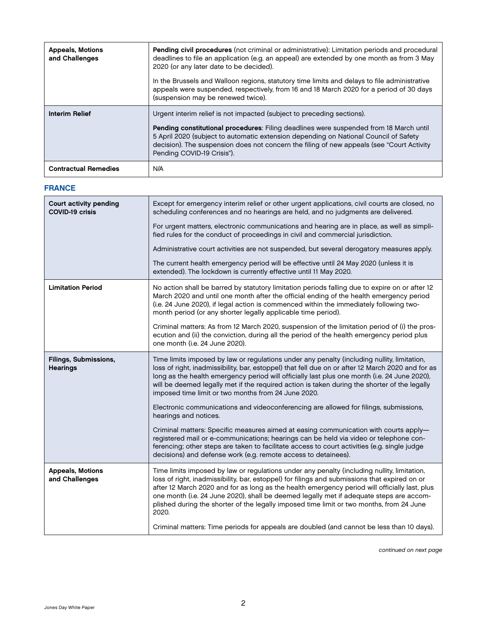<span id="page-3-0"></span>

| <b>Appeals, Motions</b><br>and Challenges | Pending civil procedures (not criminal or administrative): Limitation periods and procedural<br>deadlines to file an application (e.g. an appeal) are extended by one month as from 3 May<br>2020 (or any later date to be decided).<br>In the Brussels and Walloon regions, statutory time limits and delays to file administrative<br>appeals were suspended, respectively, from 16 and 18 March 2020 for a period of 30 days<br>(suspension may be renewed twice). |
|-------------------------------------------|-----------------------------------------------------------------------------------------------------------------------------------------------------------------------------------------------------------------------------------------------------------------------------------------------------------------------------------------------------------------------------------------------------------------------------------------------------------------------|
| <b>Interim Relief</b>                     | Urgent interim relief is not impacted (subject to preceding sections).<br>Pending constitutional procedures: Filing deadlines were suspended from 18 March until<br>5 April 2020 (subject to automatic extension depending on National Council of Safety<br>decision). The suspension does not concern the filing of new appeals (see "Court Activity<br>Pending COVID-19 Crisis").                                                                                   |
| <b>Contractual Remedies</b>               | N/A                                                                                                                                                                                                                                                                                                                                                                                                                                                                   |

#### FRANCE

| Court activity pending<br>Except for emergency interim relief or other urgent applications, civil courts are closed, no<br>scheduling conferences and no hearings are held, and no judgments are delivered.<br><b>COVID-19 crisis</b><br>For urgent matters, electronic communications and hearing are in place, as well as simpli-<br>fied rules for the conduct of proceedings in civil and commercial jurisdiction.<br>Administrative court activities are not suspended, but several derogatory measures apply.<br>The current health emergency period will be effective until 24 May 2020 (unless it is<br>extended). The lockdown is currently effective until 11 May 2020.<br><b>Limitation Period</b><br>No action shall be barred by statutory limitation periods falling due to expire on or after 12<br>March 2020 and until one month after the official ending of the health emergency period<br>(i.e. 24 June 2020), if legal action is commenced within the immediately following two-<br>month period (or any shorter legally applicable time period).<br>Criminal matters: As from 12 March 2020, suspension of the limitation period of (i) the pros-<br>ecution and (ii) the conviction, during all the period of the health emergency period plus<br>one month (i.e. 24 June 2020).<br>Time limits imposed by law or regulations under any penalty (including nullity, limitation,<br>Filings, Submissions,<br>loss of right, inadmissibility, bar, estoppel) that fell due on or after 12 March 2020 and for as<br><b>Hearings</b><br>long as the health emergency period will officially last plus one month (i.e. 24 June 2020),<br>will be deemed legally met if the required action is taken during the shorter of the legally<br>imposed time limit or two months from 24 June 2020.<br>Electronic communications and videoconferencing are allowed for filings, submissions,<br>hearings and notices.<br>Criminal matters: Specific measures aimed at easing communication with courts apply-<br>registered mail or e-communications; hearings can be held via video or telephone con-<br>ferencing; other steps are taken to facilitate access to court activities (e.g. single judge<br>decisions) and defense work (e.g. remote access to detainees).<br><b>Appeals, Motions</b><br>Time limits imposed by law or regulations under any penalty (including nullity, limitation,<br>and Challenges<br>loss of right, inadmissibility, bar, estoppel) for filings and submissions that expired on or<br>after 12 March 2020 and for as long as the health emergency period will officially last, plus<br>one month (i.e. 24 June 2020), shall be deemed legally met if adequate steps are accom-<br>plished during the shorter of the legally imposed time limit or two months, from 24 June<br>2020.<br>Criminal matters: Time periods for appeals are doubled (and cannot be less than 10 days). |  |
|--------------------------------------------------------------------------------------------------------------------------------------------------------------------------------------------------------------------------------------------------------------------------------------------------------------------------------------------------------------------------------------------------------------------------------------------------------------------------------------------------------------------------------------------------------------------------------------------------------------------------------------------------------------------------------------------------------------------------------------------------------------------------------------------------------------------------------------------------------------------------------------------------------------------------------------------------------------------------------------------------------------------------------------------------------------------------------------------------------------------------------------------------------------------------------------------------------------------------------------------------------------------------------------------------------------------------------------------------------------------------------------------------------------------------------------------------------------------------------------------------------------------------------------------------------------------------------------------------------------------------------------------------------------------------------------------------------------------------------------------------------------------------------------------------------------------------------------------------------------------------------------------------------------------------------------------------------------------------------------------------------------------------------------------------------------------------------------------------------------------------------------------------------------------------------------------------------------------------------------------------------------------------------------------------------------------------------------------------------------------------------------------------------------------------------------------------------------------------------------------------------------------------------------------------------------------------------------------------------------------------------------------------------------------------------------------------------------------------------------------------------------------------------------------------------------------------------------------------------------------------------------------------------------------------------|--|
|                                                                                                                                                                                                                                                                                                                                                                                                                                                                                                                                                                                                                                                                                                                                                                                                                                                                                                                                                                                                                                                                                                                                                                                                                                                                                                                                                                                                                                                                                                                                                                                                                                                                                                                                                                                                                                                                                                                                                                                                                                                                                                                                                                                                                                                                                                                                                                                                                                                                                                                                                                                                                                                                                                                                                                                                                                                                                                                                |  |
|                                                                                                                                                                                                                                                                                                                                                                                                                                                                                                                                                                                                                                                                                                                                                                                                                                                                                                                                                                                                                                                                                                                                                                                                                                                                                                                                                                                                                                                                                                                                                                                                                                                                                                                                                                                                                                                                                                                                                                                                                                                                                                                                                                                                                                                                                                                                                                                                                                                                                                                                                                                                                                                                                                                                                                                                                                                                                                                                |  |
|                                                                                                                                                                                                                                                                                                                                                                                                                                                                                                                                                                                                                                                                                                                                                                                                                                                                                                                                                                                                                                                                                                                                                                                                                                                                                                                                                                                                                                                                                                                                                                                                                                                                                                                                                                                                                                                                                                                                                                                                                                                                                                                                                                                                                                                                                                                                                                                                                                                                                                                                                                                                                                                                                                                                                                                                                                                                                                                                |  |
|                                                                                                                                                                                                                                                                                                                                                                                                                                                                                                                                                                                                                                                                                                                                                                                                                                                                                                                                                                                                                                                                                                                                                                                                                                                                                                                                                                                                                                                                                                                                                                                                                                                                                                                                                                                                                                                                                                                                                                                                                                                                                                                                                                                                                                                                                                                                                                                                                                                                                                                                                                                                                                                                                                                                                                                                                                                                                                                                |  |
|                                                                                                                                                                                                                                                                                                                                                                                                                                                                                                                                                                                                                                                                                                                                                                                                                                                                                                                                                                                                                                                                                                                                                                                                                                                                                                                                                                                                                                                                                                                                                                                                                                                                                                                                                                                                                                                                                                                                                                                                                                                                                                                                                                                                                                                                                                                                                                                                                                                                                                                                                                                                                                                                                                                                                                                                                                                                                                                                |  |
|                                                                                                                                                                                                                                                                                                                                                                                                                                                                                                                                                                                                                                                                                                                                                                                                                                                                                                                                                                                                                                                                                                                                                                                                                                                                                                                                                                                                                                                                                                                                                                                                                                                                                                                                                                                                                                                                                                                                                                                                                                                                                                                                                                                                                                                                                                                                                                                                                                                                                                                                                                                                                                                                                                                                                                                                                                                                                                                                |  |
|                                                                                                                                                                                                                                                                                                                                                                                                                                                                                                                                                                                                                                                                                                                                                                                                                                                                                                                                                                                                                                                                                                                                                                                                                                                                                                                                                                                                                                                                                                                                                                                                                                                                                                                                                                                                                                                                                                                                                                                                                                                                                                                                                                                                                                                                                                                                                                                                                                                                                                                                                                                                                                                                                                                                                                                                                                                                                                                                |  |
|                                                                                                                                                                                                                                                                                                                                                                                                                                                                                                                                                                                                                                                                                                                                                                                                                                                                                                                                                                                                                                                                                                                                                                                                                                                                                                                                                                                                                                                                                                                                                                                                                                                                                                                                                                                                                                                                                                                                                                                                                                                                                                                                                                                                                                                                                                                                                                                                                                                                                                                                                                                                                                                                                                                                                                                                                                                                                                                                |  |
|                                                                                                                                                                                                                                                                                                                                                                                                                                                                                                                                                                                                                                                                                                                                                                                                                                                                                                                                                                                                                                                                                                                                                                                                                                                                                                                                                                                                                                                                                                                                                                                                                                                                                                                                                                                                                                                                                                                                                                                                                                                                                                                                                                                                                                                                                                                                                                                                                                                                                                                                                                                                                                                                                                                                                                                                                                                                                                                                |  |
|                                                                                                                                                                                                                                                                                                                                                                                                                                                                                                                                                                                                                                                                                                                                                                                                                                                                                                                                                                                                                                                                                                                                                                                                                                                                                                                                                                                                                                                                                                                                                                                                                                                                                                                                                                                                                                                                                                                                                                                                                                                                                                                                                                                                                                                                                                                                                                                                                                                                                                                                                                                                                                                                                                                                                                                                                                                                                                                                |  |
|                                                                                                                                                                                                                                                                                                                                                                                                                                                                                                                                                                                                                                                                                                                                                                                                                                                                                                                                                                                                                                                                                                                                                                                                                                                                                                                                                                                                                                                                                                                                                                                                                                                                                                                                                                                                                                                                                                                                                                                                                                                                                                                                                                                                                                                                                                                                                                                                                                                                                                                                                                                                                                                                                                                                                                                                                                                                                                                                |  |

*continued on next page*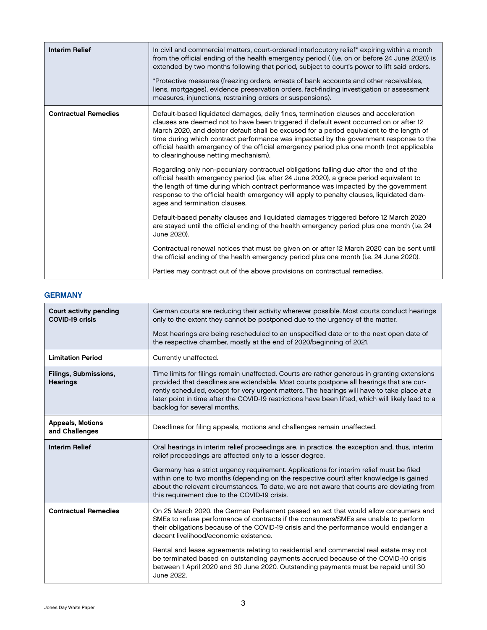<span id="page-4-0"></span>

| <b>Interim Relief</b>       | In civil and commercial matters, court-ordered interlocutory relief* expiring within a month<br>from the official ending of the health emergency period ((i.e. on or before 24 June 2020) is<br>extended by two months following that period, subject to court's power to lift said orders.<br>*Protective measures (freezing orders, arrests of bank accounts and other receivables,<br>liens, mortgages), evidence preservation orders, fact-finding investigation or assessment<br>measures, injunctions, restraining orders or suspensions). |
|-----------------------------|--------------------------------------------------------------------------------------------------------------------------------------------------------------------------------------------------------------------------------------------------------------------------------------------------------------------------------------------------------------------------------------------------------------------------------------------------------------------------------------------------------------------------------------------------|
| <b>Contractual Remedies</b> | Default-based liquidated damages, daily fines, termination clauses and acceleration<br>clauses are deemed not to have been triggered if default event occurred on or after 12<br>March 2020, and debtor default shall be excused for a period equivalent to the length of<br>time during which contract performance was impacted by the government response to the<br>official health emergency of the official emergency period plus one month (not applicable<br>to clearinghouse netting mechanism).                                          |
|                             | Regarding only non-pecuniary contractual obligations falling due after the end of the<br>official health emergency period (i.e. after 24 June 2020), a grace period equivalent to<br>the length of time during which contract performance was impacted by the government<br>response to the official health emergency will apply to penalty clauses, liquidated dam-<br>ages and termination clauses.                                                                                                                                            |
|                             | Default-based penalty clauses and liquidated damages triggered before 12 March 2020<br>are stayed until the official ending of the health emergency period plus one month (i.e. 24<br>June 2020).                                                                                                                                                                                                                                                                                                                                                |
|                             | Contractual renewal notices that must be given on or after 12 March 2020 can be sent until<br>the official ending of the health emergency period plus one month (i.e. 24 June 2020).                                                                                                                                                                                                                                                                                                                                                             |
|                             | Parties may contract out of the above provisions on contractual remedies.                                                                                                                                                                                                                                                                                                                                                                                                                                                                        |

#### **GERMANY**

| <b>Court activity pending</b><br><b>COVID-19 crisis</b> | German courts are reducing their activity wherever possible. Most courts conduct hearings<br>only to the extent they cannot be postponed due to the urgency of the matter.                                                                                                                                                                                                                                                 |
|---------------------------------------------------------|----------------------------------------------------------------------------------------------------------------------------------------------------------------------------------------------------------------------------------------------------------------------------------------------------------------------------------------------------------------------------------------------------------------------------|
|                                                         | Most hearings are being rescheduled to an unspecified date or to the next open date of<br>the respective chamber, mostly at the end of 2020/beginning of 2021.                                                                                                                                                                                                                                                             |
| <b>Limitation Period</b>                                | Currently unaffected.                                                                                                                                                                                                                                                                                                                                                                                                      |
| <b>Filings, Submissions,</b><br><b>Hearings</b>         | Time limits for filings remain unaffected. Courts are rather generous in granting extensions<br>provided that deadlines are extendable. Most courts postpone all hearings that are cur-<br>rently scheduled, except for very urgent matters. The hearings will have to take place at a<br>later point in time after the COVID-19 restrictions have been lifted, which will likely lead to a<br>backlog for several months. |
| <b>Appeals, Motions</b><br>and Challenges               | Deadlines for filing appeals, motions and challenges remain unaffected.                                                                                                                                                                                                                                                                                                                                                    |
| <b>Interim Relief</b>                                   | Oral hearings in interim relief proceedings are, in practice, the exception and, thus, interim<br>relief proceedings are affected only to a lesser degree.                                                                                                                                                                                                                                                                 |
|                                                         | Germany has a strict urgency requirement. Applications for interim relief must be filed<br>within one to two months (depending on the respective court) after knowledge is gained<br>about the relevant circumstances. To date, we are not aware that courts are deviating from<br>this requirement due to the COVID-19 crisis.                                                                                            |
| <b>Contractual Remedies</b>                             | On 25 March 2020, the German Parliament passed an act that would allow consumers and<br>SMEs to refuse performance of contracts if the consumers/SMEs are unable to perform<br>their obligations because of the COVID-19 crisis and the performance would endanger a<br>decent livelihood/economic existence.                                                                                                              |
|                                                         | Rental and lease agreements relating to residential and commercial real estate may not<br>be terminated based on outstanding payments accrued because of the COVID-10 crisis<br>between 1 April 2020 and 30 June 2020. Outstanding payments must be repaid until 30<br>June 2022.                                                                                                                                          |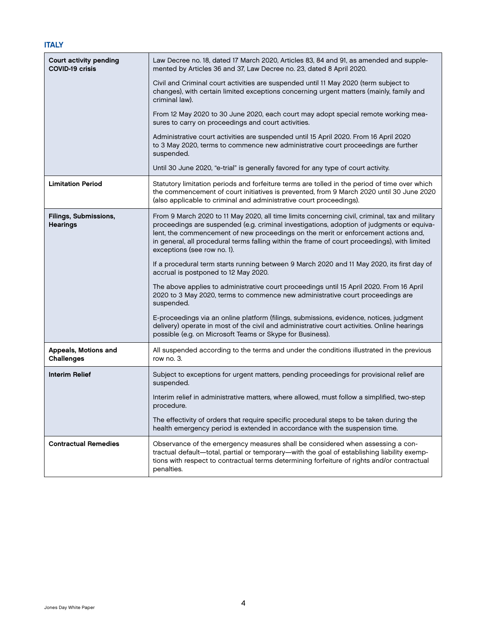#### <span id="page-5-0"></span>Court activity pending COVID-19 crisis Law Decree no. 18, dated 17 March 2020, Articles 83, 84 and 91, as amended and supplemented by Articles 36 and 37, Law Decree no. 23, dated 8 April 2020. Civil and Criminal court activities are suspended until 11 May 2020 (term subject to changes), with certain limited exceptions concerning urgent matters (mainly, family and criminal law). From 12 May 2020 to 30 June 2020, each court may adopt special remote working measures to carry on proceedings and court activities. Administrative court activities are suspended until 15 April 2020. From 16 April 2020 to 3 May 2020, terms to commence new administrative court proceedings are further suspended. Until 30 June 2020, "e-trial" is generally favored for any type of court activity. Limitation Period Statutory limitation periods and forfeiture terms are tolled in the period of time over which the commencement of court initiatives is prevented, from 9 March 2020 until 30 June 2020 (also applicable to criminal and administrative court proceedings). Filings, Submissions, **Hearings** From 9 March 2020 to 11 May 2020, all time limits concerning civil, criminal, tax and military proceedings are suspended (e.g. criminal investigations, adoption of judgments or equivalent, the commencement of new proceedings on the merit or enforcement actions and, in general, all procedural terms falling within the frame of court proceedings), with limited exceptions (see row no. 1). If a procedural term starts running between 9 March 2020 and 11 May 2020, its first day of accrual is postponed to 12 May 2020. The above applies to administrative court proceedings until 15 April 2020. From 16 April 2020 to 3 May 2020, terms to commence new administrative court proceedings are suspended. E-proceedings via an online platform (filings, submissions, evidence, notices, judgment delivery) operate in most of the civil and administrative court activities. Online hearings possible (e.g. on Microsoft Teams or Skype for Business). Appeals, Motions and **Challenges** All suspended according to the terms and under the conditions illustrated in the previous row no. 3. Interim Relief Subject to exceptions for urgent matters, pending proceedings for provisional relief are suspended. Interim relief in administrative matters, where allowed, must follow a simplified, two-step procedure. The effectivity of orders that require specific procedural steps to be taken during the health emergency period is extended in accordance with the suspension time. Contractual Remedies **Contractual Remedies Observance of the emergency measures shall be considered when assessing a con**tractual default—total, partial or temporary—with the goal of establishing liability exemptions with respect to contractual terms determining forfeiture of rights and/or contractual penalties.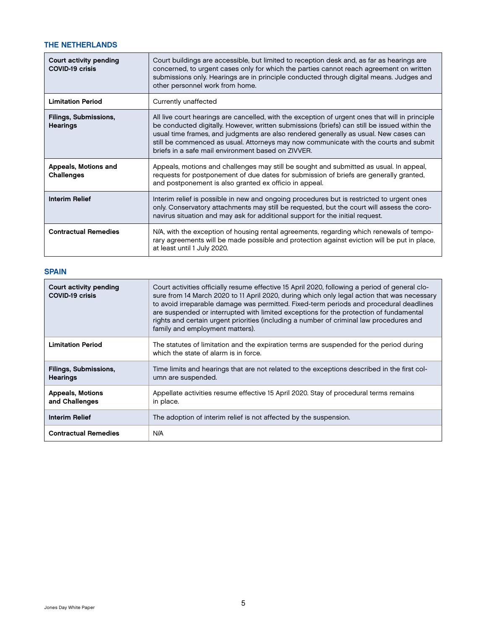#### <span id="page-6-0"></span>THE NETHERLANDS

| Court activity pending<br><b>COVID-19 crisis</b> | Court buildings are accessible, but limited to reception desk and, as far as hearings are<br>concerned, to urgent cases only for which the parties cannot reach agreement on written<br>submissions only. Hearings are in principle conducted through digital means. Judges and<br>other personnel work from home.                                                                                                                     |
|--------------------------------------------------|----------------------------------------------------------------------------------------------------------------------------------------------------------------------------------------------------------------------------------------------------------------------------------------------------------------------------------------------------------------------------------------------------------------------------------------|
| <b>Limitation Period</b>                         | Currently unaffected                                                                                                                                                                                                                                                                                                                                                                                                                   |
| Filings, Submissions,<br><b>Hearings</b>         | All live court hearings are cancelled, with the exception of urgent ones that will in principle<br>be conducted digitally. However, written submissions (briefs) can still be issued within the<br>usual time frames, and judgments are also rendered generally as usual. New cases can<br>still be commenced as usual. Attorneys may now communicate with the courts and submit<br>briefs in a safe mail environment based on ZIVVER. |
| Appeals, Motions and<br>Challenges               | Appeals, motions and challenges may still be sought and submitted as usual. In appeal,<br>requests for postponement of due dates for submission of briefs are generally granted,<br>and postponement is also granted ex officio in appeal.                                                                                                                                                                                             |
| <b>Interim Relief</b>                            | Interim relief is possible in new and ongoing procedures but is restricted to urgent ones<br>only. Conservatory attachments may still be requested, but the court will assess the coro-<br>navirus situation and may ask for additional support for the initial request.                                                                                                                                                               |
| <b>Contractual Remedies</b>                      | N/A, with the exception of housing rental agreements, regarding which renewals of tempo-<br>rary agreements will be made possible and protection against eviction will be put in place,<br>at least until 1 July 2020.                                                                                                                                                                                                                 |

#### **SPAIN**

| Court activity pending<br><b>COVID-19 crisis</b> | Court activities officially resume effective 15 April 2020, following a period of general clo-<br>sure from 14 March 2020 to 11 April 2020, during which only legal action that was necessary<br>to avoid irreparable damage was permitted. Fixed-term periods and procedural deadlines<br>are suspended or interrupted with limited exceptions for the protection of fundamental<br>rights and certain urgent priorities (including a number of criminal law procedures and<br>family and employment matters). |
|--------------------------------------------------|-----------------------------------------------------------------------------------------------------------------------------------------------------------------------------------------------------------------------------------------------------------------------------------------------------------------------------------------------------------------------------------------------------------------------------------------------------------------------------------------------------------------|
| <b>Limitation Period</b>                         | The statutes of limitation and the expiration terms are suspended for the period during<br>which the state of alarm is in force.                                                                                                                                                                                                                                                                                                                                                                                |
| Filings, Submissions,<br><b>Hearings</b>         | Time limits and hearings that are not related to the exceptions described in the first col-<br>umn are suspended.                                                                                                                                                                                                                                                                                                                                                                                               |
| <b>Appeals, Motions</b><br>and Challenges        | Appellate activities resume effective 15 April 2020. Stay of procedural terms remains<br>in place.                                                                                                                                                                                                                                                                                                                                                                                                              |
| <b>Interim Relief</b>                            | The adoption of interim relief is not affected by the suspension.                                                                                                                                                                                                                                                                                                                                                                                                                                               |
| <b>Contractual Remedies</b>                      | N/A                                                                                                                                                                                                                                                                                                                                                                                                                                                                                                             |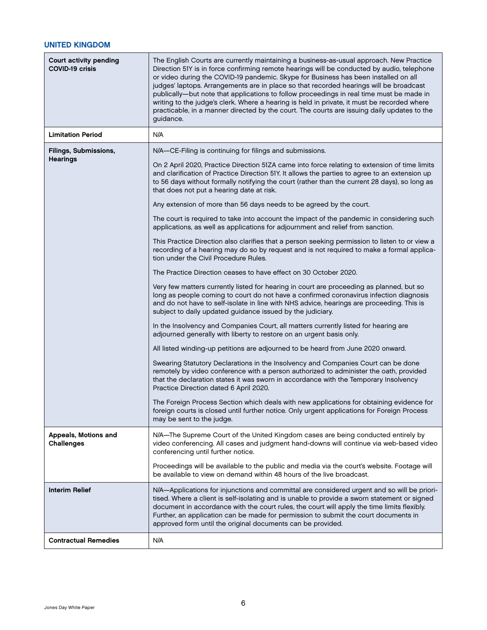### <span id="page-7-0"></span>UNITED KINGDOM

| <b>Court activity pending</b><br><b>COVID-19 crisis</b> | The English Courts are currently maintaining a business-as-usual approach. New Practice<br>Direction 51Y is in force confirming remote hearings will be conducted by audio, telephone<br>or video during the COVID-19 pandemic. Skype for Business has been installed on all<br>judges' laptops. Arrangements are in place so that recorded hearings will be broadcast<br>publically-but note that applications to follow proceedings in real time must be made in<br>writing to the judge's clerk. Where a hearing is held in private, it must be recorded where<br>practicable, in a manner directed by the court. The courts are issuing daily updates to the<br>guidance. |
|---------------------------------------------------------|-------------------------------------------------------------------------------------------------------------------------------------------------------------------------------------------------------------------------------------------------------------------------------------------------------------------------------------------------------------------------------------------------------------------------------------------------------------------------------------------------------------------------------------------------------------------------------------------------------------------------------------------------------------------------------|
| <b>Limitation Period</b>                                | N/A                                                                                                                                                                                                                                                                                                                                                                                                                                                                                                                                                                                                                                                                           |
| Filings, Submissions,<br><b>Hearings</b>                | N/A-CE-Filing is continuing for filings and submissions.<br>On 2 April 2020, Practice Direction 51ZA came into force relating to extension of time limits<br>and clarification of Practice Direction 51Y. It allows the parties to agree to an extension up<br>to 56 days without formally notifying the court (rather than the current 28 days), so long as<br>that does not put a hearing date at risk.<br>Any extension of more than 56 days needs to be agreed by the court.                                                                                                                                                                                              |
|                                                         | The court is required to take into account the impact of the pandemic in considering such<br>applications, as well as applications for adjournment and relief from sanction.                                                                                                                                                                                                                                                                                                                                                                                                                                                                                                  |
|                                                         | This Practice Direction also clarifies that a person seeking permission to listen to or view a<br>recording of a hearing may do so by request and is not required to make a formal applica-<br>tion under the Civil Procedure Rules.                                                                                                                                                                                                                                                                                                                                                                                                                                          |
|                                                         | The Practice Direction ceases to have effect on 30 October 2020.                                                                                                                                                                                                                                                                                                                                                                                                                                                                                                                                                                                                              |
|                                                         | Very few matters currently listed for hearing in court are proceeding as planned, but so<br>long as people coming to court do not have a confirmed coronavirus infection diagnosis<br>and do not have to self-isolate in line with NHS advice, hearings are proceeding. This is<br>subject to daily updated guidance issued by the judiciary.                                                                                                                                                                                                                                                                                                                                 |
|                                                         | In the Insolvency and Companies Court, all matters currently listed for hearing are<br>adjourned generally with liberty to restore on an urgent basis only.                                                                                                                                                                                                                                                                                                                                                                                                                                                                                                                   |
|                                                         | All listed winding-up petitions are adjourned to be heard from June 2020 onward.                                                                                                                                                                                                                                                                                                                                                                                                                                                                                                                                                                                              |
|                                                         | Swearing Statutory Declarations in the Insolvency and Companies Court can be done<br>remotely by video conference with a person authorized to administer the oath, provided<br>that the declaration states it was sworn in accordance with the Temporary Insolvency<br>Practice Direction dated 6 April 2020.                                                                                                                                                                                                                                                                                                                                                                 |
|                                                         | The Foreign Process Section which deals with new applications for obtaining evidence for<br>foreign courts is closed until further notice. Only urgent applications for Foreign Process<br>may be sent to the judge.                                                                                                                                                                                                                                                                                                                                                                                                                                                          |
| Appeals, Motions and<br><b>Challenges</b>               | N/A-The Supreme Court of the United Kingdom cases are being conducted entirely by<br>video conferencing. All cases and judgment hand-downs will continue via web-based video<br>conferencing until further notice.                                                                                                                                                                                                                                                                                                                                                                                                                                                            |
|                                                         | Proceedings will be available to the public and media via the court's website. Footage will<br>be available to view on demand within 48 hours of the live broadcast.                                                                                                                                                                                                                                                                                                                                                                                                                                                                                                          |
| <b>Interim Relief</b>                                   | N/A-Applications for injunctions and committal are considered urgent and so will be priori-<br>tised. Where a client is self-isolating and is unable to provide a sworn statement or signed<br>document in accordance with the court rules, the court will apply the time limits flexibly.<br>Further, an application can be made for permission to submit the court documents in<br>approved form until the original documents can be provided.                                                                                                                                                                                                                              |
| <b>Contractual Remedies</b>                             | N/A                                                                                                                                                                                                                                                                                                                                                                                                                                                                                                                                                                                                                                                                           |